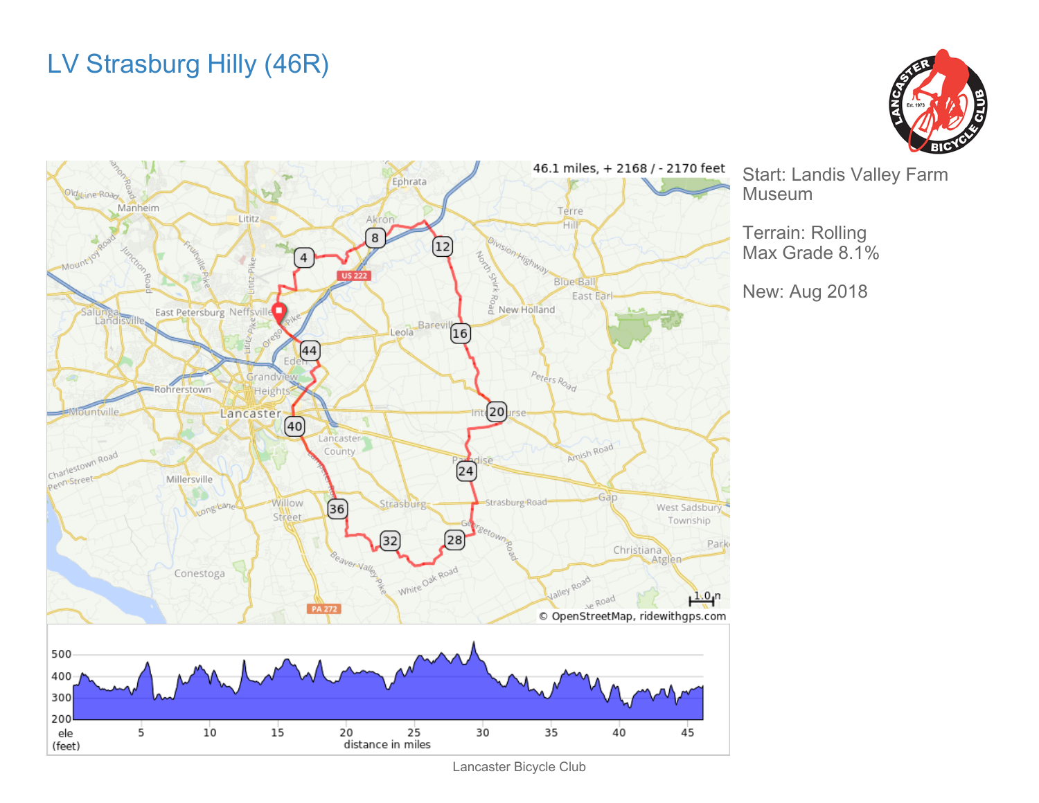## LV Strasburg Hilly (46R)





Start: Landis Valley Farm

Terrain: Rolling Max Grade 8.1%

New: Aug 2018